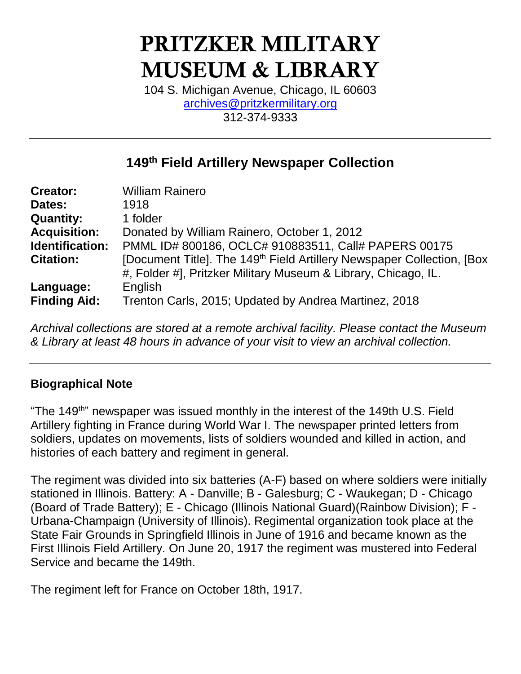# PRITZKER MILITARY MUSEUM & LIBRARY

104 S. Michigan Avenue, Chicago, IL 60603 [archives@pritzkermilitary.org](mailto:archives@pritzkermilitary.org) 312-374-9333

# **149th Field Artillery Newspaper Collection**

| <b>Creator:</b>     | <b>William Rainero</b>                                                              |  |
|---------------------|-------------------------------------------------------------------------------------|--|
| Dates:              | 1918                                                                                |  |
| <b>Quantity:</b>    | 1 folder                                                                            |  |
| <b>Acquisition:</b> | Donated by William Rainero, October 1, 2012                                         |  |
| Identification:     | PMML ID# 800186, OCLC# 910883511, Call# PAPERS 00175                                |  |
| <b>Citation:</b>    | [Document Title]. The 149 <sup>th</sup> Field Artillery Newspaper Collection, [Box] |  |
|                     | #, Folder #], Pritzker Military Museum & Library, Chicago, IL.                      |  |
| Language:           | English                                                                             |  |
| <b>Finding Aid:</b> | Trenton Carls, 2015; Updated by Andrea Martinez, 2018                               |  |

*Archival collections are stored at a remote archival facility. Please contact the Museum & Library at least 48 hours in advance of your visit to view an archival collection.*

## **Biographical Note**

"The 149<sup>th</sup>" newspaper was issued monthly in the interest of the 149th U.S. Field Artillery fighting in France during World War I. The newspaper printed letters from soldiers, updates on movements, lists of soldiers wounded and killed in action, and histories of each battery and regiment in general.

The regiment was divided into six batteries (A-F) based on where soldiers were initially stationed in Illinois. Battery: A - Danville; B - Galesburg; C - Waukegan; D - Chicago (Board of Trade Battery); E - Chicago (Illinois National Guard)(Rainbow Division); F - Urbana-Champaign (University of Illinois). Regimental organization took place at the State Fair Grounds in Springfield Illinois in June of 1916 and became known as the First Illinois Field Artillery. On June 20, 1917 the regiment was mustered into Federal Service and became the 149th.

The regiment left for France on October 18th, 1917.